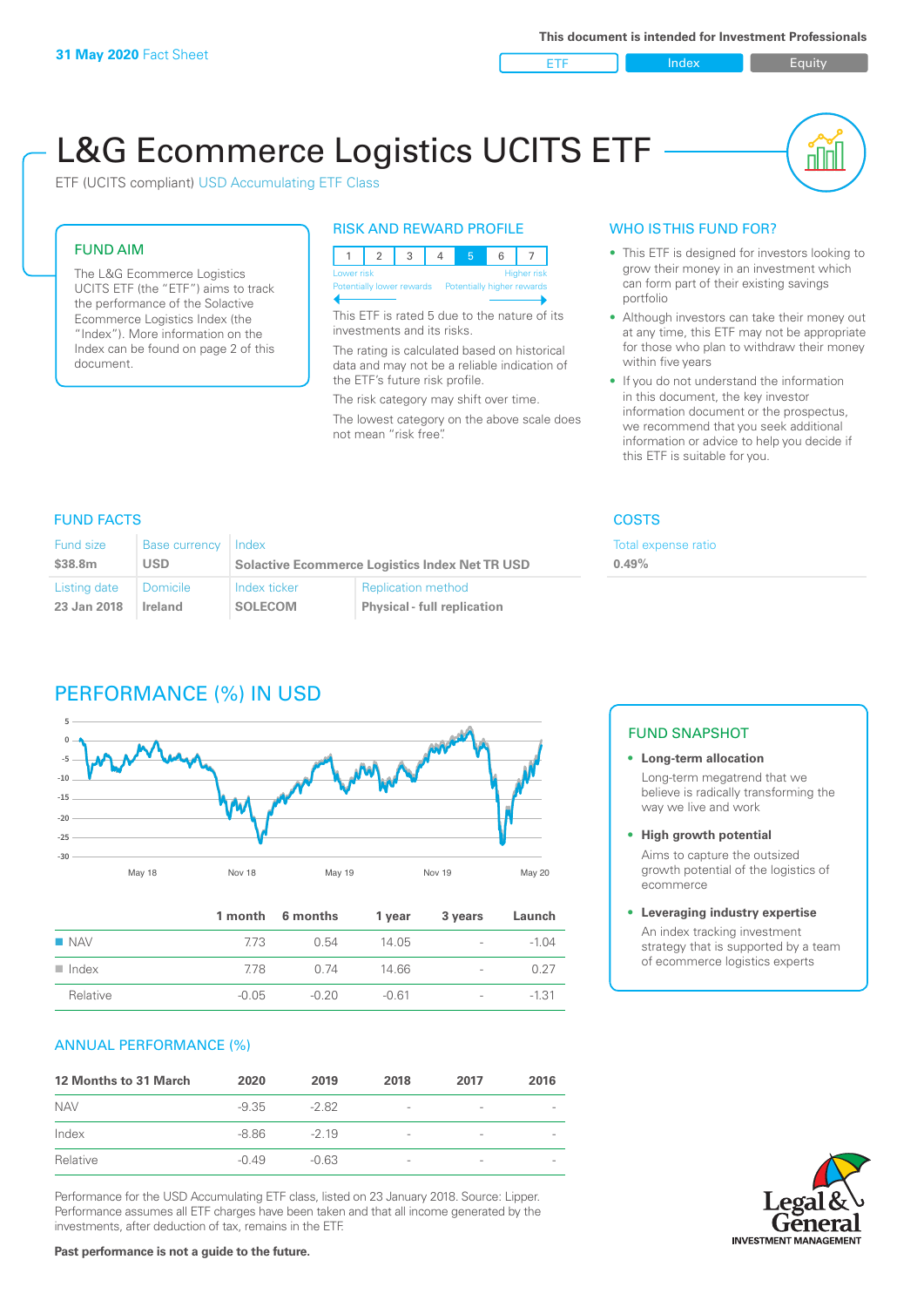ETF Index Builty

nn

# L&G Ecommerce Logistics UCITS ETF

ETF (UCITS compliant) USD Accumulating ETF Class

# FUND AIM

The L&G Ecommerce Logistics UCITS ETF (the "ETF") aims to track the performance of the Solactive Ecommerce Logistics Index (the "Index"). More information on the Index can be found on page 2 of this document.

### RISK AND REWARD PROFILE



This ETF is rated 5 due to the nature of its investments and its risks.

The rating is calculated based on historical data and may not be a reliable indication of the ETF's future risk profile.

The risk category may shift over time. The lowest category on the above scale does not mean "risk free".

### WHO IS THIS FUND FOR?

- This ETF is designed for investors looking to grow their money in an investment which can form part of their existing savings portfolio
- Although investors can take their money out at any time, this ETF may not be appropriate for those who plan to withdraw their money within five years
- If you do not understand the information in this document, the key investor information document or the prospectus, we recommend that you seek additional information or advice to help you decide if this ETF is suitable for you.

**Total expense ratio** 

### FUND FACTS COSTS

| Fund size           | Base currency Index | <b>Solactive Ecommerce Logistics Index Net TR USD</b> |                                    | Total e: |
|---------------------|---------------------|-------------------------------------------------------|------------------------------------|----------|
| \$38.8 <sub>m</sub> | <b>USD</b>          |                                                       |                                    | 0.49%    |
| Listing date        | <b>Domicile</b>     | Index ticker                                          | <b>Replication method</b>          |          |
| 23 Jan 2018         | Ireland             | <b>SOLECOM</b>                                        | <b>Physical - full replication</b> |          |

# PERFORMANCE (%) IN USD



|                      |         | 1 month 6 months | 1 year  | 3 years                  | Launch  |
|----------------------|---------|------------------|---------|--------------------------|---------|
| $\blacksquare$ NAV   | 773     | 0.54             | 14.05   | $\sim$                   | $-1.04$ |
| $\blacksquare$ Index | 778     | 0. 74            | 14.66   | $\sim$                   | 0.27    |
| Relative             | $-0.05$ | $-0.20$          | $-0.61$ | $\overline{\phantom{a}}$ | $-1.31$ |

### ANNUAL PERFORMANCE (%)

| <b>12 Months to 31 March</b> | 2020    | 2019    | 2018                     | 2017            | 2016 |
|------------------------------|---------|---------|--------------------------|-----------------|------|
| <b>NAV</b>                   | $-9.35$ | $-282$  | $\overline{\phantom{a}}$ | -               |      |
| Index                        | -8.86   | $-219$  | $\overline{\phantom{a}}$ | -               |      |
| Relative                     | $-0.49$ | $-0.63$ | $\overline{\phantom{a}}$ | $\qquad \qquad$ |      |

Performance for the USD Accumulating ETF class, listed on 23 January 2018. Source: Lipper. Performance assumes all ETF charges have been taken and that all income generated by the investments, after deduction of tax, remains in the ETF.

### FUND SNAPSHOT

### **• Long-term allocation** Long-term megatrend that we believe is radically transforming the way we live and work

**• High growth potential** Aims to capture the outsized

growth potential of the logistics of ecommerce

### **• Leveraging industry expertise**

An index tracking investment strategy that is supported by a team of ecommerce logistics experts

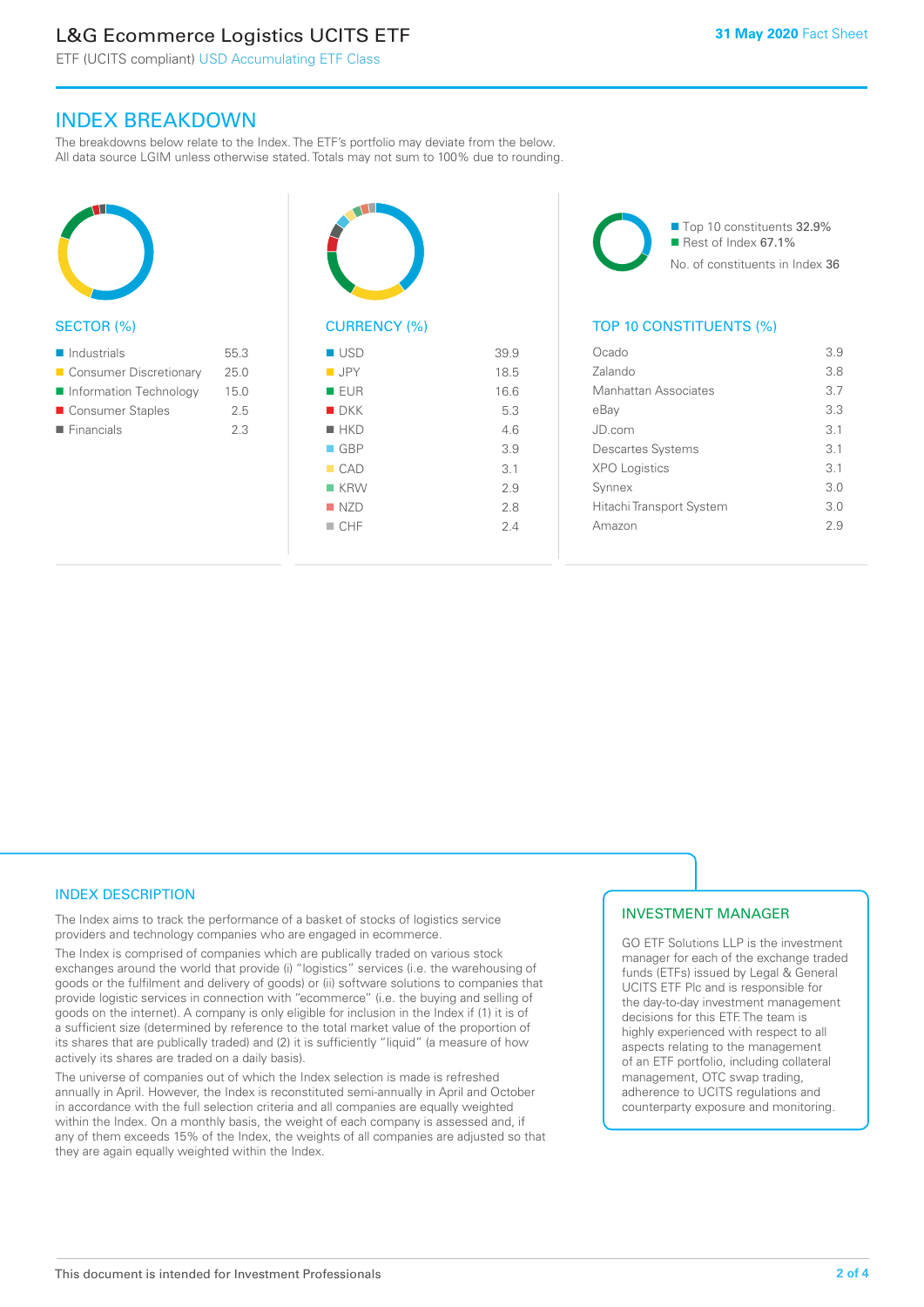# L&G Ecommerce Logistics UCITS ETF

ETF (UCITS compliant) USD Accumulating ETF Class

# INDEX BREAKDOWN

The breakdowns below relate to the Index. The ETF's portfolio may deviate from the below. All data source LGIM unless otherwise stated. Totals may not sum to 100% due to rounding.



### SECTOR (%)

| $\blacksquare$ Industrials | 55.3 |
|----------------------------|------|
| ■ Consumer Discretionary   | 25.0 |
| Information Technology     | 15.0 |
| ■ Consumer Staples         | 2.5  |
| $\blacksquare$ Financials  | 23   |
|                            |      |



| ■ USD              | 39.9 |
|--------------------|------|
| $\blacksquare$ JPY | 18.5 |
| <b>EUR</b>         | 16.6 |
| $\blacksquare$ DKK | 5.3  |
| $H$ HKD            | 4.6  |
| $\Box$ GBP         | 3.9  |
| CAD                | 3.1  |
| $K$ KRW            | 2.9  |
| NZD                | 2.8  |
| CHF                | 2.4  |
|                    |      |

■ Top 10 constituents 32.9%  $\blacksquare$  Rest of Index 67.1% No. of constituents in Index 36

### TOP 10 CONSTITUENTS (%)

| Ocado                    | 3.9 |
|--------------------------|-----|
| Zalando                  | 3.8 |
| Manhattan Associates     | 3.7 |
| eBay                     | 3.3 |
| JD.com                   | 3.1 |
| <b>Descartes Systems</b> | 3.1 |
| <b>XPO Logistics</b>     | 3.1 |
| Synnex                   | 3.0 |
| Hitachi Transport System | 3.0 |
| Amazon                   | 29  |
|                          |     |

## INDEX DESCRIPTION

The Index aims to track the performance of a basket of stocks of logistics service providers and technology companies who are engaged in ecommerce.

The Index is comprised of companies which are publically traded on various stock exchanges around the world that provide (i) "logistics" services (i.e. the warehousing of goods or the fulfilment and delivery of goods) or (ii) software solutions to companies that provide logistic services in connection with "ecommerce" (i.e. the buying and selling of goods on the internet). A company is only eligible for inclusion in the Index if (1) it is of a sufficient size (determined by reference to the total market value of the proportion of its shares that are publically traded) and (2) it is sufficiently "liquid" (a measure of how actively its shares are traded on a daily basis).

The universe of companies out of which the Index selection is made is refreshed annually in April. However, the Index is reconstituted semi-annually in April and October in accordance with the full selection criteria and all companies are equally weighted within the Index. On a monthly basis, the weight of each company is assessed and, if any of them exceeds 15% of the Index, the weights of all companies are adjusted so that they are again equally weighted within the Index.

### INVESTMENT MANAGER

GO ETF Solutions LLP is the investment manager for each of the exchange traded funds (ETFs) issued by Legal & General UCITS ETF Plc and is responsible for the day-to-day investment management decisions for this ETF. The team is highly experienced with respect to all aspects relating to the management of an ETF portfolio, including collateral management, OTC swap trading, adherence to UCITS regulations and counterparty exposure and monitoring.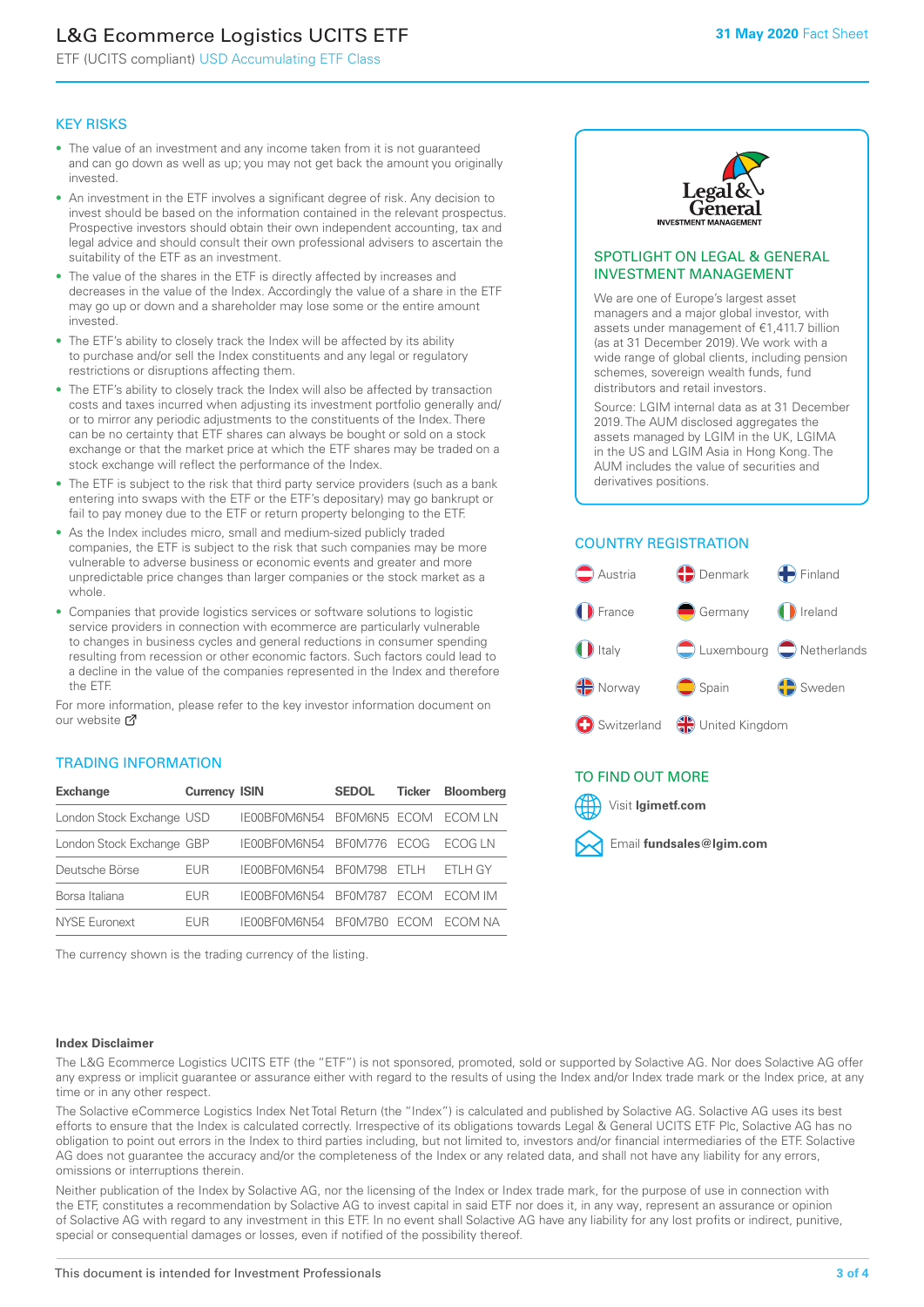# L&G Ecommerce Logistics UCITS ETF

ETF (UCITS compliant) USD Accumulating ETF Class

### KEY RISKS

- The value of an investment and any income taken from it is not guaranteed and can go down as well as up; you may not get back the amount you originally invested.
- An investment in the ETF involves a significant degree of risk. Any decision to invest should be based on the information contained in the relevant prospectus. Prospective investors should obtain their own independent accounting, tax and legal advice and should consult their own professional advisers to ascertain the suitability of the ETF as an investment.
- The value of the shares in the ETF is directly affected by increases and decreases in the value of the Index. Accordingly the value of a share in the ETF may go up or down and a shareholder may lose some or the entire amount invested.
- The ETF's ability to closely track the Index will be affected by its ability to purchase and/or sell the Index constituents and any legal or regulatory restrictions or disruptions affecting them.
- The ETF's ability to closely track the Index will also be affected by transaction costs and taxes incurred when adjusting its investment portfolio generally and/ or to mirror any periodic adjustments to the constituents of the Index. There can be no certainty that ETF shares can always be bought or sold on a stock exchange or that the market price at which the ETF shares may be traded on a stock exchange will reflect the performance of the Index.
- The ETF is subject to the risk that third party service providers (such as a bank entering into swaps with the ETF or the ETF's depositary) may go bankrupt or fail to pay money due to the ETF or return property belonging to the ETF.
- As the Index includes micro, small and medium-sized publicly traded companies, the ETF is subject to the risk that such companies may be more vulnerable to adverse business or economic events and greater and more unpredictable price changes than larger companies or the stock market as a whole.
- Companies that provide logistics services or software solutions to logistic service providers in connection with ecommerce are particularly vulnerable to changes in business cycles and general reductions in consumer spending resulting from recession or other economic factors. Such factors could lead to a decline in the value of the companies represented in the Index and therefore the ETF.

For more information, please refer to the key investor information document on our website **Z** 

### TRADING INFORMATION

| <b>Exchange</b>           | <b>Currency ISIN</b> |              | <b>SEDOL</b>   | <b>Ticker</b> | Bloomberg |
|---------------------------|----------------------|--------------|----------------|---------------|-----------|
| London Stock Exchange USD |                      | IE00BF0M6N54 | BFOM6N5 ECOM   |               | ECOM LN   |
| London Stock Exchange GBP |                      | IE00BF0M6N54 | <b>BF0M776</b> | <b>FCOG</b>   | FCOG IN   |
| Deutsche Börse            | EUR                  | IE00BF0M6N54 | <b>BF0M798</b> | FTI H         | ETLH GY   |
| Borsa Italiana            | <b>FUR</b>           | IE00BF0M6N54 | <b>BF0M787</b> | <b>FCOM</b>   | ECOM IM   |
| NYSE Euronext             | <b>FUR</b>           | IF00BF0M6N54 | BF0M7B0        | ECOM.         | FCOM NA   |

The currency shown is the trading currency of the listing.



### SPOTLIGHT ON LEGAL & GENERAL INVESTMENT MANAGEMENT

We are one of Europe's largest asset managers and a major global investor, with assets under management of €1,411.7 billion (as at 31 December 2019). We work with a wide range of global clients, including pension schemes, sovereign wealth funds, fund distributors and retail investors.

Source: LGIM internal data as at 31 December 2019. The AUM disclosed aggregates the assets managed by LGIM in the UK, LGIMA in the US and LGIM Asia in Hong Kong. The AUM includes the value of securities and derivatives positions.

# COUNTRY REGISTRATION



# TO FIND OUT MORE



### **Index Disclaimer**

The L&G Ecommerce Logistics UCITS ETF (the "ETF") is not sponsored, promoted, sold or supported by Solactive AG. Nor does Solactive AG offer any express or implicit guarantee or assurance either with regard to the results of using the Index and/or Index trade mark or the Index price, at any time or in any other respect.

The Solactive eCommerce Logistics Index Net Total Return (the "Index") is calculated and published by Solactive AG. Solactive AG uses its best efforts to ensure that the Index is calculated correctly. Irrespective of its obligations towards Legal & General UCITS ETF Plc, Solactive AG has no obligation to point out errors in the Index to third parties including, but not limited to, investors and/or financial intermediaries of the ETF. Solactive AG does not guarantee the accuracy and/or the completeness of the Index or any related data, and shall not have any liability for any errors, omissions or interruptions therein.

Neither publication of the Index by Solactive AG, nor the licensing of the Index or Index trade mark, for the purpose of use in connection with the ETF, constitutes a recommendation by Solactive AG to invest capital in said ETF nor does it, in any way, represent an assurance or opinion of Solactive AG with regard to any investment in this ETF. In no event shall Solactive AG have any liability for any lost profits or indirect, punitive, special or consequential damages or losses, even if notified of the possibility thereof.